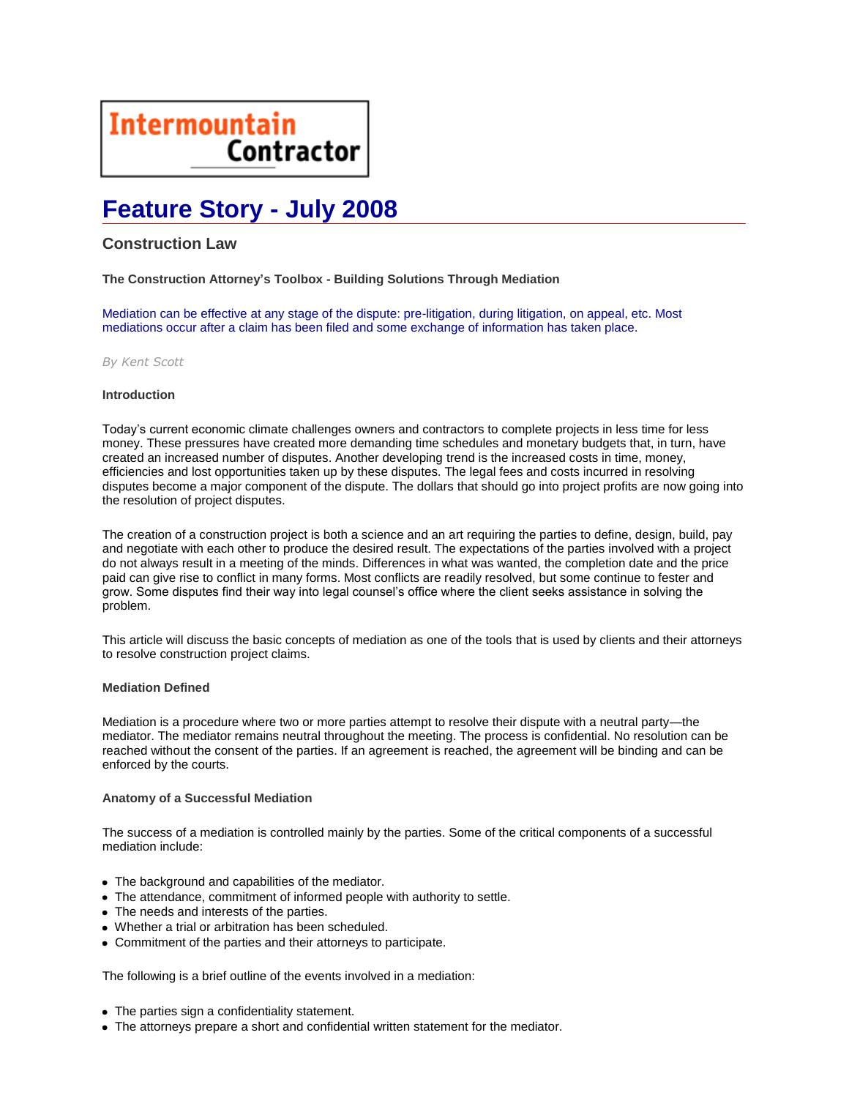# **Intermountain Contractor**

## **Feature Story - July 2008**

### **Construction Law**

**The Construction Attorney's Toolbox - Building Solutions Through Mediation**

Mediation can be effective at any stage of the dispute: pre-litigation, during litigation, on appeal, etc. Most mediations occur after a claim has been filed and some exchange of information has taken place.

*By Kent Scott*

#### **Introduction**

Today's current economic climate challenges owners and contractors to complete projects in less time for less money. These pressures have created more demanding time schedules and monetary budgets that, in turn, have created an increased number of disputes. Another developing trend is the increased costs in time, money, efficiencies and lost opportunities taken up by these disputes. The legal fees and costs incurred in resolving disputes become a major component of the dispute. The dollars that should go into project profits are now going into the resolution of project disputes.

The creation of a construction project is both a science and an art requiring the parties to define, design, build, pay and negotiate with each other to produce the desired result. The expectations of the parties involved with a project do not always result in a meeting of the minds. Differences in what was wanted, the completion date and the price paid can give rise to conflict in many forms. Most conflicts are readily resolved, but some continue to fester and grow. Some disputes find their way into legal counsel's office where the client seeks assistance in solving the problem.

This article will discuss the basic concepts of mediation as one of the tools that is used by clients and their attorneys to resolve construction project claims.

#### **Mediation Defined**

Mediation is a procedure where two or more parties attempt to resolve their dispute with a neutral party—the mediator. The mediator remains neutral throughout the meeting. The process is confidential. No resolution can be reached without the consent of the parties. If an agreement is reached, the agreement will be binding and can be enforced by the courts.

#### **Anatomy of a Successful Mediation**

The success of a mediation is controlled mainly by the parties. Some of the critical components of a successful mediation include:

- The background and capabilities of the mediator.
- The attendance, commitment of informed people with authority to settle.
- The needs and interests of the parties.
- Whether a trial or arbitration has been scheduled.
- Commitment of the parties and their attorneys to participate.

The following is a brief outline of the events involved in a mediation:

- The parties sign a confidentiality statement.
- The attorneys prepare a short and confidential written statement for the mediator.